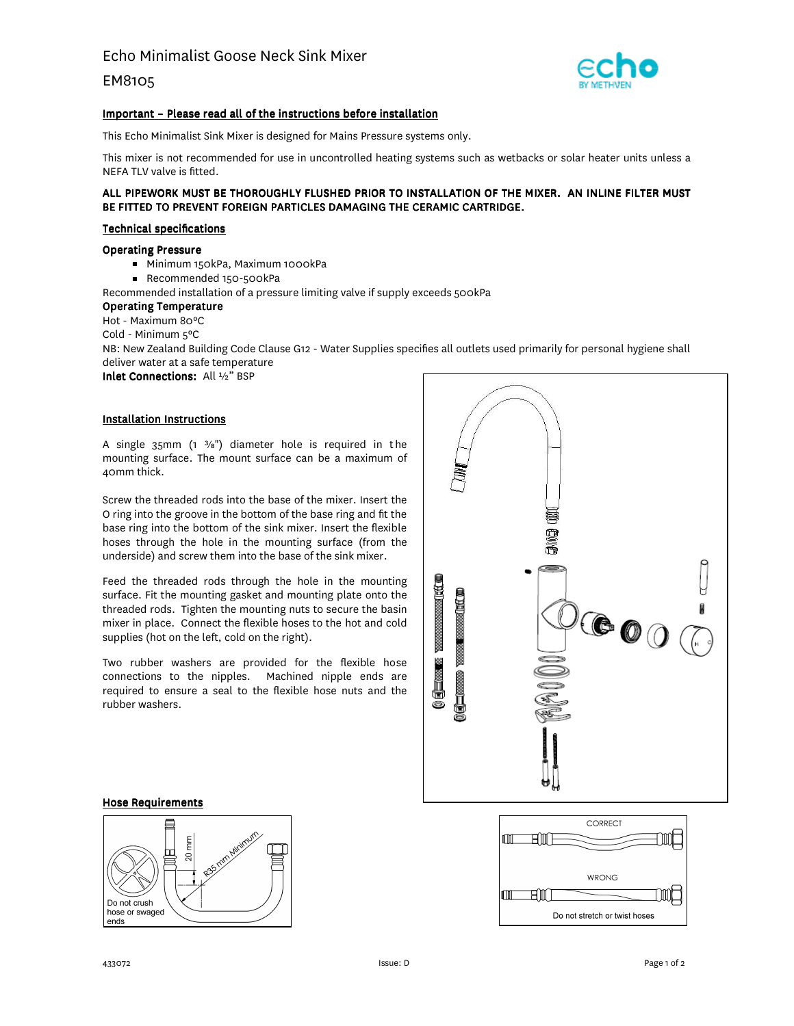EM8105



## Important – Please read all of the instructions before installation

This Echo Minimalist Sink Mixer is designed for Mains Pressure systems only.

This mixer is not recommended for use in uncontrolled heating systems such as wetbacks or solar heater units unless a NEFA TLV valve is fitted.

## ALL PIPEWORK MUST BE THOROUGHLY FLUSHED PRIOR TO INSTALLATION OF THE MIXER. AN INLINE FILTER MUST BE FITTED TO PREVENT FOREIGN PARTICLES DAMAGING THE CERAMIC CARTRIDGE.

## Technical specifications

## Operating Pressure

- Minimum 150kPa, Maximum 1000kPa
- Recommended 150-500kPa
- Recommended installation of a pressure limiting valve if supply exceeds 500kPa

### Operating Temperature

Hot - Maximum 80ºC

Cold - Minimum 5ºC

NB: New Zealand Building Code Clause G12 - Water Supplies specifies all outlets used primarily for personal hygiene shall deliver water at a safe temperature

Inlet Connections: All ½" BSP

## Installation Instructions

A single  $35$ mm (1  $\frac{3}{8}$ ") diameter hole is required in the mounting surface. The mount surface can be a maximum of 40mm thick.

Screw the threaded rods into the base of the mixer. Insert the O ring into the groove in the bottom of the base ring and fit the base ring into the bottom of the sink mixer. Insert the flexible hoses through the hole in the mounting surface (from the underside) and screw them into the base of the sink mixer.

Feed the threaded rods through the hole in the mounting surface. Fit the mounting gasket and mounting plate onto the threaded rods. Tighten the mounting nuts to secure the basin mixer in place. Connect the flexible hoses to the hot and cold supplies (hot on the left, cold on the right).

Two rubber washers are provided for the flexible hose connections to the nipples. Machined nipple ends are required to ensure a seal to the flexible hose nuts and the rubber washers.



#### Hose Requirements